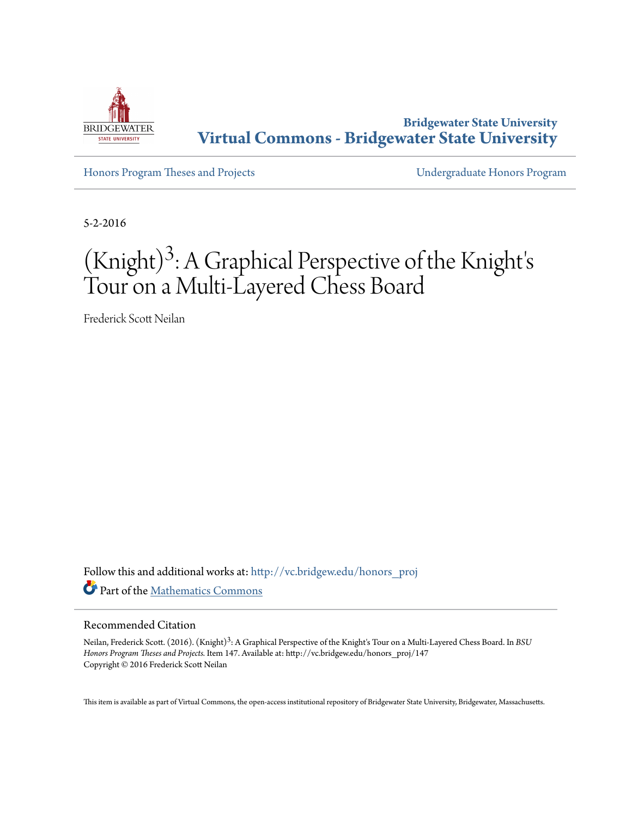

**Bridgewater State University [Virtual Commons - Bridgewater State University](http://vc.bridgew.edu?utm_source=vc.bridgew.edu%2Fhonors_proj%2F147&utm_medium=PDF&utm_campaign=PDFCoverPages)**

[Honors Program Theses and Projects](http://vc.bridgew.edu/honors_proj?utm_source=vc.bridgew.edu%2Fhonors_proj%2F147&utm_medium=PDF&utm_campaign=PDFCoverPages) [Undergraduate Honors Program](http://vc.bridgew.edu/honors?utm_source=vc.bridgew.edu%2Fhonors_proj%2F147&utm_medium=PDF&utm_campaign=PDFCoverPages)

5-2-2016

# (Knight) 3 : A Graphical Perspective of the Knight' s Tour on a Multi-Layered Chess Board

Frederick Scott Neilan

Follow this and additional works at: [http://vc.bridgew.edu/honors\\_proj](http://vc.bridgew.edu/honors_proj?utm_source=vc.bridgew.edu%2Fhonors_proj%2F147&utm_medium=PDF&utm_campaign=PDFCoverPages) Part of the [Mathematics Commons](http://network.bepress.com/hgg/discipline/174?utm_source=vc.bridgew.edu%2Fhonors_proj%2F147&utm_medium=PDF&utm_campaign=PDFCoverPages)

#### Recommended Citation

Neilan, Frederick Scott. (2016). (Knight) 3 : A Graphical Perspective of the Knight's Tour on a Multi-Layered Chess Board. In *BSU Honors Program Theses and Projects.* Item 147. Available at: http://vc.bridgew.edu/honors\_proj/147 Copyright © 2016 Frederick Scott Neilan

This item is available as part of Virtual Commons, the open-access institutional repository of Bridgewater State University, Bridgewater, Massachusetts.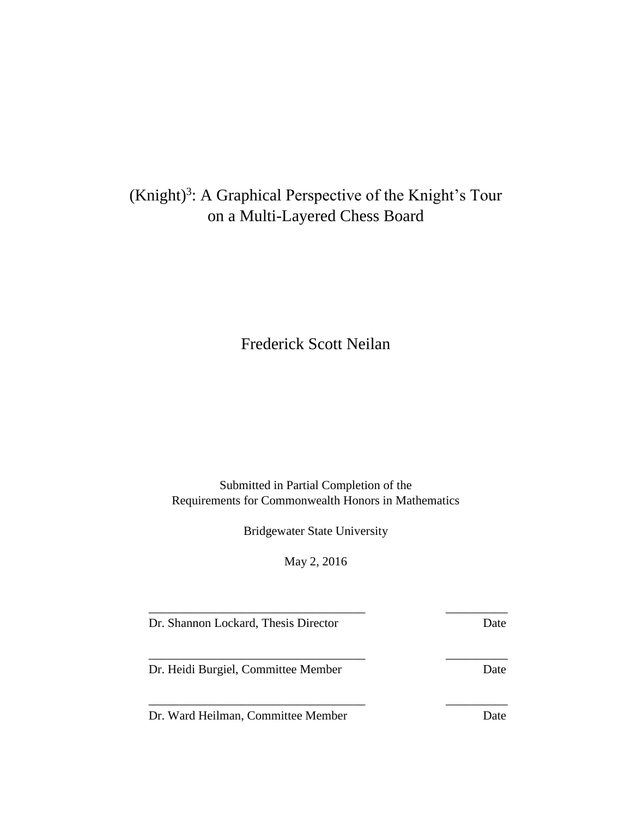# (Knight)<sup>3</sup>: A Graphical Perspective of the Knight's Tour on a Multi-Layered Chess Board

Frederick Scott Neilan

Submitted in Partial Completion of the Requirements for Commonwealth Honors in Mathematics

Bridgewater State University

May 2, 2016

\_\_\_\_\_\_\_\_\_\_\_\_\_\_\_\_\_\_\_\_\_\_\_\_\_\_\_\_\_\_\_\_\_\_\_ \_\_\_\_\_\_\_\_\_\_

\_\_\_\_\_\_\_\_\_\_\_\_\_\_\_\_\_\_\_\_\_\_\_\_\_\_\_\_\_\_\_\_\_\_\_ \_\_\_\_\_\_\_\_\_\_

\_\_\_\_\_\_\_\_\_\_\_\_\_\_\_\_\_\_\_\_\_\_\_\_\_\_\_\_\_\_\_\_\_\_\_ \_\_\_\_\_\_\_\_\_\_

Dr. Shannon Lockard, Thesis Director Date

Dr. Heidi Burgiel, Committee Member Date

Dr. Ward Heilman, Committee Member Date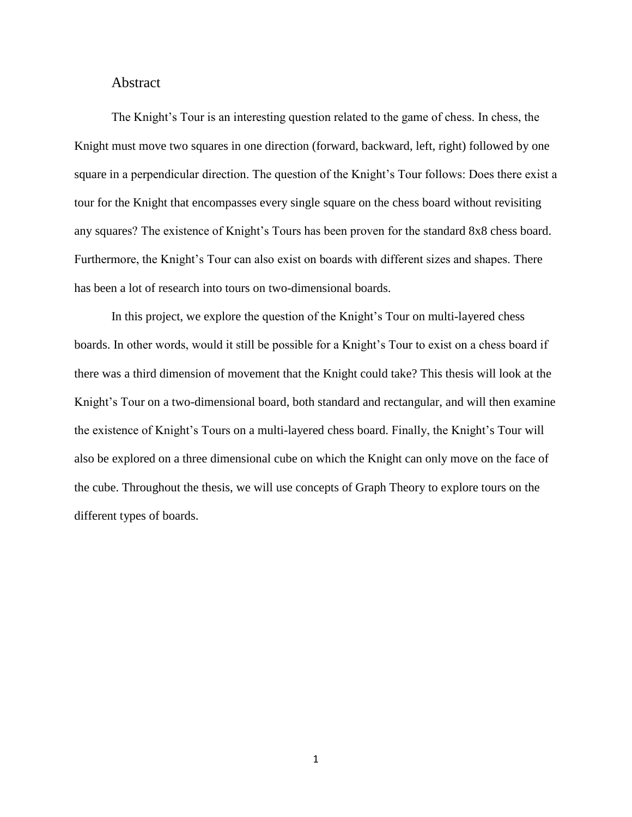#### Abstract

The Knight's Tour is an interesting question related to the game of chess. In chess, the Knight must move two squares in one direction (forward, backward, left, right) followed by one square in a perpendicular direction. The question of the Knight's Tour follows: Does there exist a tour for the Knight that encompasses every single square on the chess board without revisiting any squares? The existence of Knight's Tours has been proven for the standard 8x8 chess board. Furthermore, the Knight's Tour can also exist on boards with different sizes and shapes. There has been a lot of research into tours on two-dimensional boards.

In this project, we explore the question of the Knight's Tour on multi-layered chess boards. In other words, would it still be possible for a Knight's Tour to exist on a chess board if there was a third dimension of movement that the Knight could take? This thesis will look at the Knight's Tour on a two-dimensional board, both standard and rectangular, and will then examine the existence of Knight's Tours on a multi-layered chess board. Finally, the Knight's Tour will also be explored on a three dimensional cube on which the Knight can only move on the face of the cube. Throughout the thesis, we will use concepts of Graph Theory to explore tours on the different types of boards.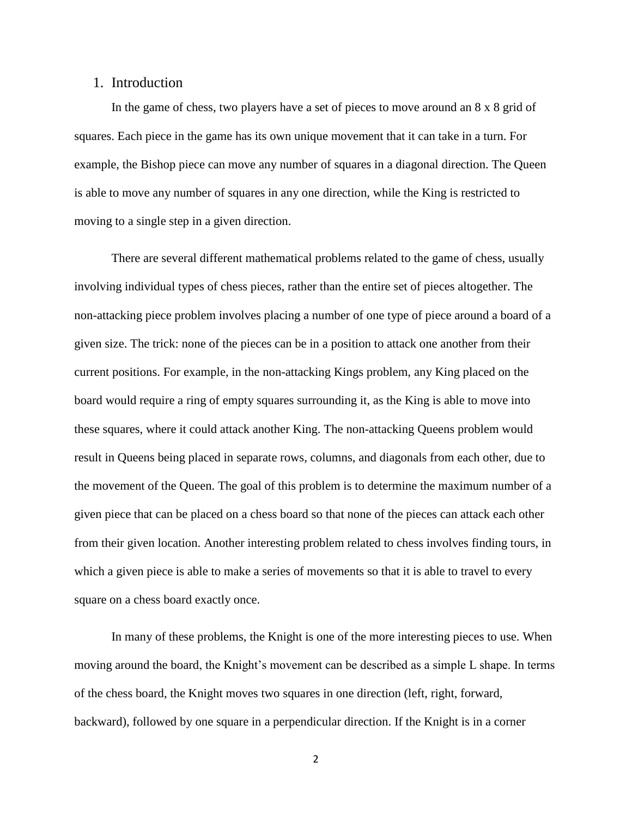# 1. Introduction

In the game of chess, two players have a set of pieces to move around an 8 x 8 grid of squares. Each piece in the game has its own unique movement that it can take in a turn. For example, the Bishop piece can move any number of squares in a diagonal direction. The Queen is able to move any number of squares in any one direction, while the King is restricted to moving to a single step in a given direction.

There are several different mathematical problems related to the game of chess, usually involving individual types of chess pieces, rather than the entire set of pieces altogether. The non-attacking piece problem involves placing a number of one type of piece around a board of a given size. The trick: none of the pieces can be in a position to attack one another from their current positions. For example, in the non-attacking Kings problem, any King placed on the board would require a ring of empty squares surrounding it, as the King is able to move into these squares, where it could attack another King. The non-attacking Queens problem would result in Queens being placed in separate rows, columns, and diagonals from each other, due to the movement of the Queen. The goal of this problem is to determine the maximum number of a given piece that can be placed on a chess board so that none of the pieces can attack each other from their given location. Another interesting problem related to chess involves finding tours, in which a given piece is able to make a series of movements so that it is able to travel to every square on a chess board exactly once.

In many of these problems, the Knight is one of the more interesting pieces to use. When moving around the board, the Knight's movement can be described as a simple L shape. In terms of the chess board, the Knight moves two squares in one direction (left, right, forward, backward), followed by one square in a perpendicular direction. If the Knight is in a corner

2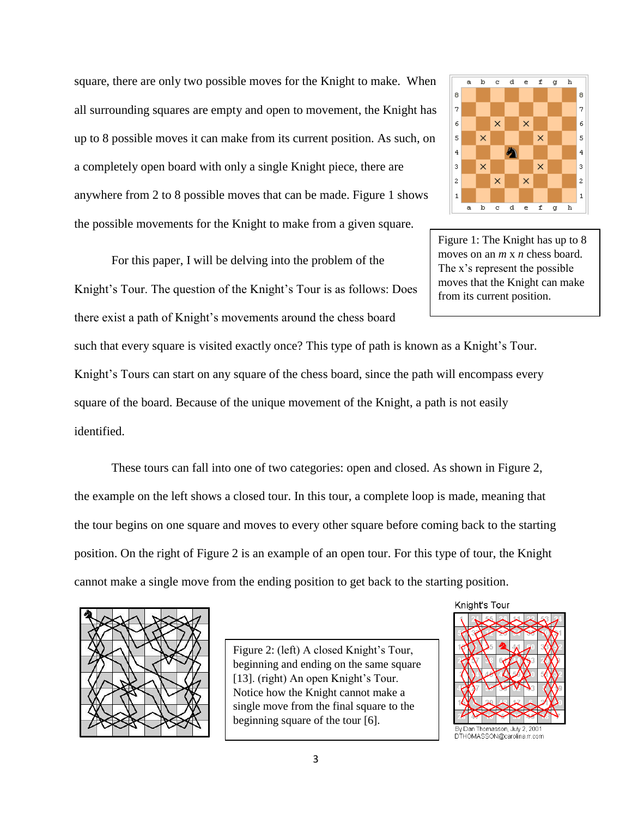square, there are only two possible moves for the Knight to make. When all surrounding squares are empty and open to movement, the Knight has up to 8 possible moves it can make from its current position. As such, on a completely open board with only a single Knight piece, there are anywhere from 2 to 8 possible moves that can be made. Figure 1 shows the possible movements for the Knight to make from a given square.

For this paper, I will be delving into the problem of the Knight's Tour. The question of the Knight's Tour is as follows: Does there exist a path of Knight's movements around the chess board

such that every square is visited exactly once? This type of path is known as a Knight's Tour.

Knight's Tours can start on any square of the chess board, since the path will encompass every

square of the board. Because of the unique movement of the Knight, a path is not easily identified.

These tours can fall into one of two categories: open and closed. As shown in Figure 2, the example on the left shows a closed tour. In this tour, a complete loop is made, meaning that the tour begins on one square and moves to every other square before coming back to the starting position. On the right of Figure 2 is an example of an open tour. For this type of tour, the Knight cannot make a single move from the ending position to get back to the starting position.



Figure 2: (left) A closed Knight's Tour, beginning and ending on the same square [13]. (right) An open Knight's Tour. Notice how the Knight cannot make a single move from the final square to the beginning square of the tour [6].



Figure 1: The Knight has up to 8 moves on an *m* x *n* chess board. The x's represent the possible moves that the Knight can make from its current position.





By Dan Thomasson, July 2, 2001 DTHOMASSON@carolina.rr.com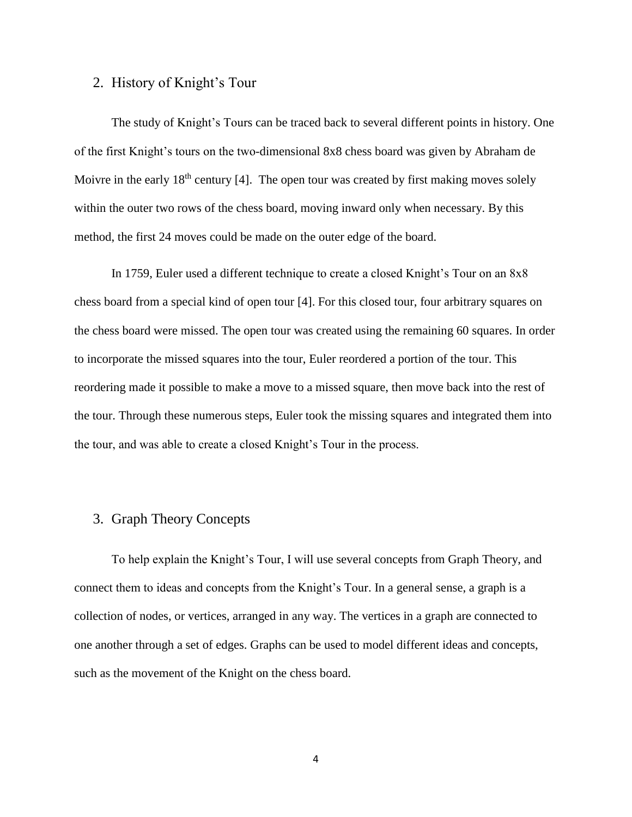# 2. History of Knight's Tour

The study of Knight's Tours can be traced back to several different points in history. One of the first Knight's tours on the two-dimensional 8x8 chess board was given by Abraham de Moivre in the early  $18<sup>th</sup>$  century [4]. The open tour was created by first making moves solely within the outer two rows of the chess board, moving inward only when necessary. By this method, the first 24 moves could be made on the outer edge of the board.

In 1759, Euler used a different technique to create a closed Knight's Tour on an 8x8 chess board from a special kind of open tour [4]. For this closed tour, four arbitrary squares on the chess board were missed. The open tour was created using the remaining 60 squares. In order to incorporate the missed squares into the tour, Euler reordered a portion of the tour. This reordering made it possible to make a move to a missed square, then move back into the rest of the tour. Through these numerous steps, Euler took the missing squares and integrated them into the tour, and was able to create a closed Knight's Tour in the process.

# 3. Graph Theory Concepts

To help explain the Knight's Tour, I will use several concepts from Graph Theory, and connect them to ideas and concepts from the Knight's Tour. In a general sense, a graph is a collection of nodes, or vertices, arranged in any way. The vertices in a graph are connected to one another through a set of edges. Graphs can be used to model different ideas and concepts, such as the movement of the Knight on the chess board.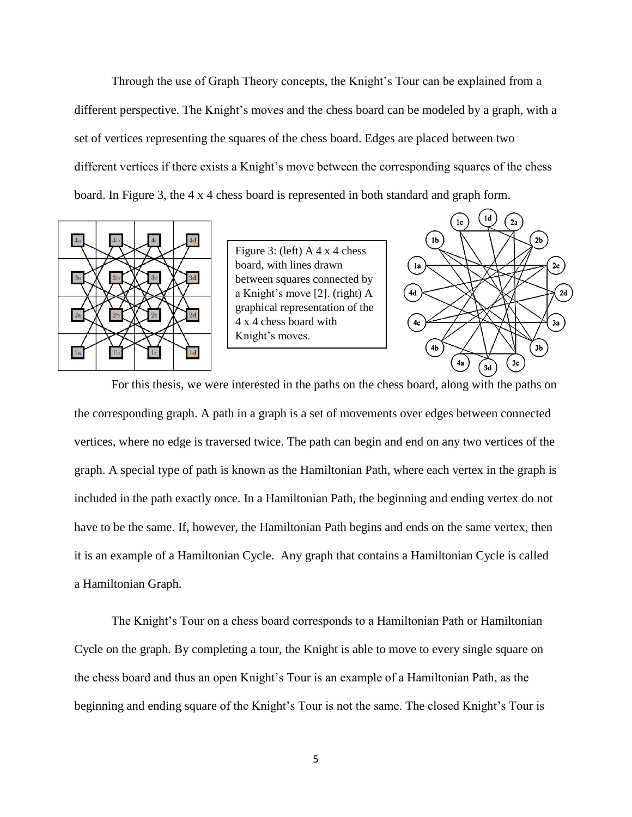Through the use of Graph Theory concepts, the Knight's Tour can be explained from a different perspective. The Knight's moves and the chess board can be modeled by a graph, with a set of vertices representing the squares of the chess board. Edges are placed between two different vertices if there exists a Knight's move between the corresponding squares of the chess board. In Figure 3, the 4 x 4 chess board is represented in both standard and graph form.



Figure 3: (left) A 4 x 4 chess board, with lines drawn between squares connected by a Knight's move [2]. (right) A graphical representation of the 4 x 4 chess board with Knight's moves.



For this thesis, we were interested in the paths on the chess board, along with the paths on the corresponding graph. A path in a graph is a set of movements over edges between connected vertices, where no edge is traversed twice. The path can begin and end on any two vertices of the graph. A special type of path is known as the Hamiltonian Path, where each vertex in the graph is included in the path exactly once. In a Hamiltonian Path, the beginning and ending vertex do not have to be the same. If, however, the Hamiltonian Path begins and ends on the same vertex, then it is an example of a Hamiltonian Cycle. Any graph that contains a Hamiltonian Cycle is called a Hamiltonian Graph.

The Knight's Tour on a chess board corresponds to a Hamiltonian Path or Hamiltonian Cycle on the graph. By completing a tour, the Knight is able to move to every single square on the chess board and thus an open Knight's Tour is an example of a Hamiltonian Path, as the beginning and ending square of the Knight's Tour is not the same. The closed Knight's Tour is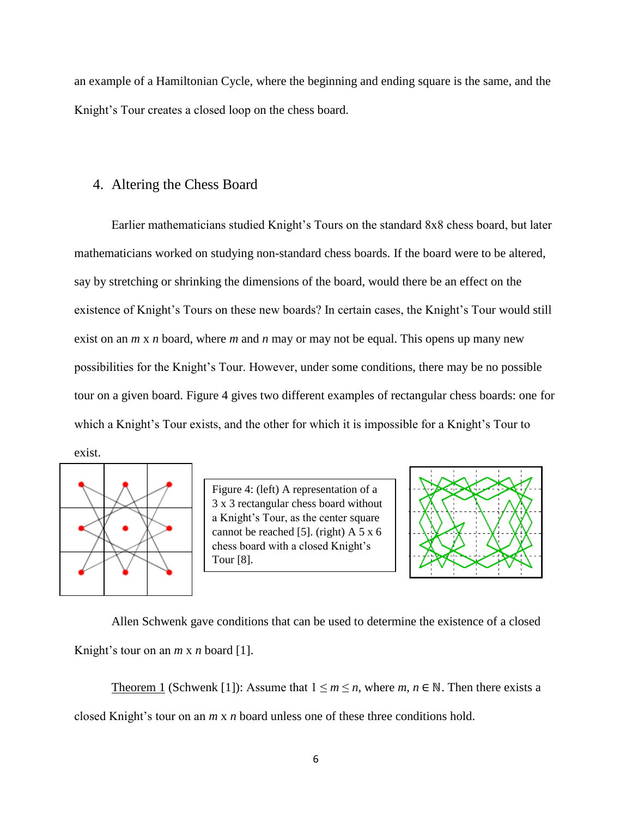an example of a Hamiltonian Cycle, where the beginning and ending square is the same, and the Knight's Tour creates a closed loop on the chess board.

#### 4. Altering the Chess Board

Earlier mathematicians studied Knight's Tours on the standard 8x8 chess board, but later mathematicians worked on studying non-standard chess boards. If the board were to be altered, say by stretching or shrinking the dimensions of the board, would there be an effect on the existence of Knight's Tours on these new boards? In certain cases, the Knight's Tour would still exist on an *m* x *n* board, where *m* and *n* may or may not be equal. This opens up many new possibilities for the Knight's Tour. However, under some conditions, there may be no possible tour on a given board. Figure 4 gives two different examples of rectangular chess boards: one for which a Knight's Tour exists, and the other for which it is impossible for a Knight's Tour to exist.



Figure 4: (left) A representation of a 3 x 3 rectangular chess board without a Knight's Tour, as the center square cannot be reached [5]. (right) A 5 x 6 chess board with a closed Knight's Tour [8].



Allen Schwenk gave conditions that can be used to determine the existence of a closed Knight's tour on an *m* x *n* board [1].

Theorem 1 (Schwenk [1]): Assume that  $1 \le m \le n$ , where  $m, n \in \mathbb{N}$ . Then there exists a closed Knight's tour on an *m* x *n* board unless one of these three conditions hold.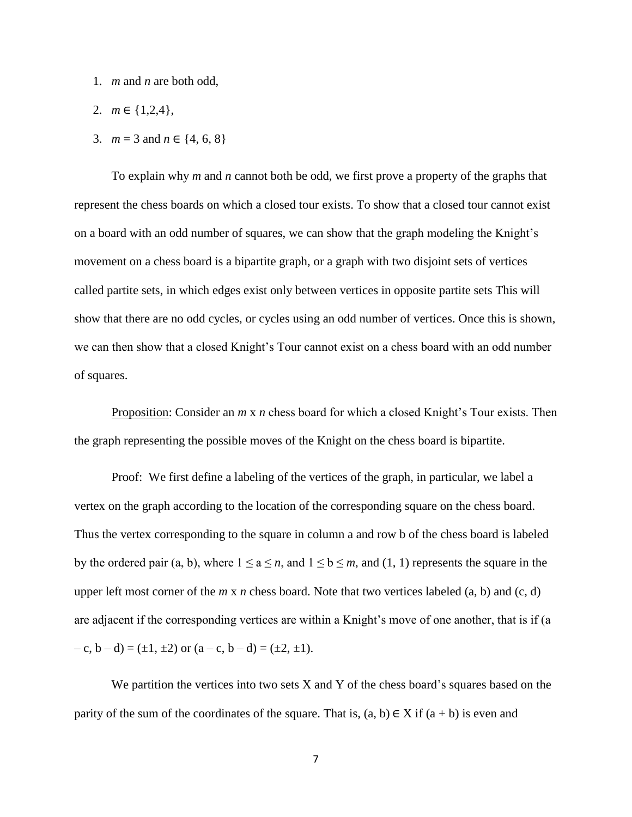- 1. *m* and *n* are both odd,
- 2. *m* ∈ {1,2,4},
- 3.  $m = 3$  and  $n \in \{4, 6, 8\}$

To explain why *m* and *n* cannot both be odd, we first prove a property of the graphs that represent the chess boards on which a closed tour exists. To show that a closed tour cannot exist on a board with an odd number of squares, we can show that the graph modeling the Knight's movement on a chess board is a bipartite graph, or a graph with two disjoint sets of vertices called partite sets, in which edges exist only between vertices in opposite partite sets This will show that there are no odd cycles, or cycles using an odd number of vertices. Once this is shown, we can then show that a closed Knight's Tour cannot exist on a chess board with an odd number of squares.

Proposition: Consider an *m* x *n* chess board for which a closed Knight's Tour exists. Then the graph representing the possible moves of the Knight on the chess board is bipartite.

Proof: We first define a labeling of the vertices of the graph, in particular, we label a vertex on the graph according to the location of the corresponding square on the chess board. Thus the vertex corresponding to the square in column a and row b of the chess board is labeled by the ordered pair (a, b), where  $1 \le a \le n$ , and  $1 \le b \le m$ , and (1, 1) represents the square in the upper left most corner of the *m* x *n* chess board. Note that two vertices labeled (a, b) and (c, d) are adjacent if the corresponding vertices are within a Knight's move of one another, that is if (a  $(-c, b-d) = (\pm 1, \pm 2)$  or  $(a-c, b-d) = (\pm 2, \pm 1)$ .

We partition the vertices into two sets  $X$  and  $Y$  of the chess board's squares based on the parity of the sum of the coordinates of the square. That is,  $(a, b) \in X$  if  $(a + b)$  is even and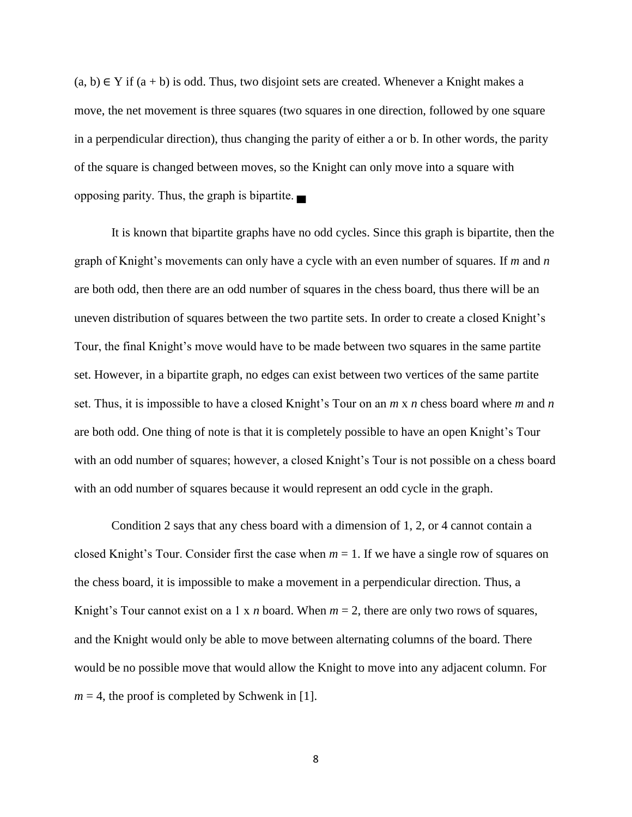$(a, b) \in Y$  if  $(a + b)$  is odd. Thus, two disjoint sets are created. Whenever a Knight makes a move, the net movement is three squares (two squares in one direction, followed by one square in a perpendicular direction), thus changing the parity of either a or b. In other words, the parity of the square is changed between moves, so the Knight can only move into a square with opposing parity. Thus, the graph is bipartite. ▄

It is known that bipartite graphs have no odd cycles. Since this graph is bipartite, then the graph of Knight's movements can only have a cycle with an even number of squares. If *m* and *n* are both odd, then there are an odd number of squares in the chess board, thus there will be an uneven distribution of squares between the two partite sets. In order to create a closed Knight's Tour, the final Knight's move would have to be made between two squares in the same partite set. However, in a bipartite graph, no edges can exist between two vertices of the same partite set. Thus, it is impossible to have a closed Knight's Tour on an *m* x *n* chess board where *m* and *n* are both odd. One thing of note is that it is completely possible to have an open Knight's Tour with an odd number of squares; however, a closed Knight's Tour is not possible on a chess board with an odd number of squares because it would represent an odd cycle in the graph.

Condition 2 says that any chess board with a dimension of 1, 2, or 4 cannot contain a closed Knight's Tour. Consider first the case when  $m = 1$ . If we have a single row of squares on the chess board, it is impossible to make a movement in a perpendicular direction. Thus, a Knight's Tour cannot exist on a 1 x *n* board. When  $m = 2$ , there are only two rows of squares, and the Knight would only be able to move between alternating columns of the board. There would be no possible move that would allow the Knight to move into any adjacent column. For  $m = 4$ , the proof is completed by Schwenk in [1].

8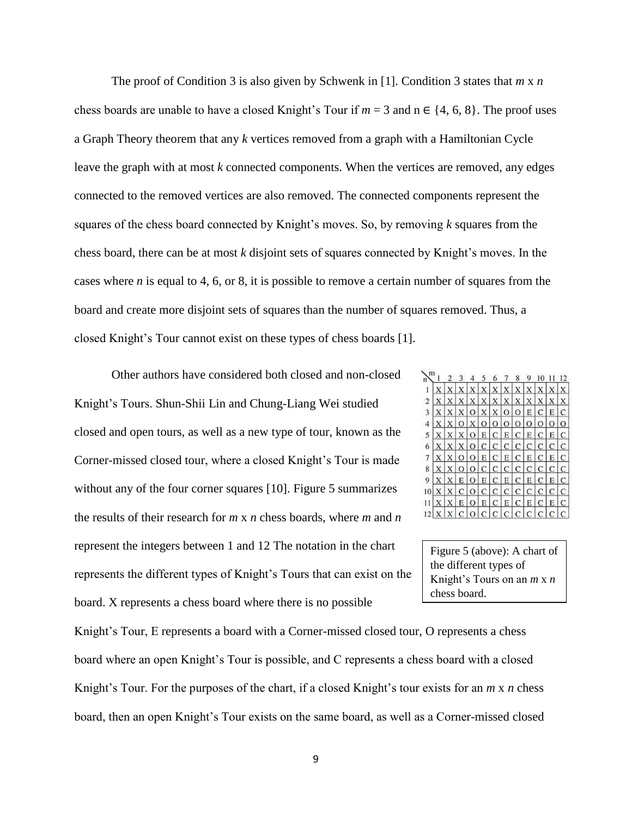The proof of Condition 3 is also given by Schwenk in [1]. Condition 3 states that *m* x *n*  chess boards are unable to have a closed Knight's Tour if  $m = 3$  and  $n \in \{4, 6, 8\}$ . The proof uses a Graph Theory theorem that any *k* vertices removed from a graph with a Hamiltonian Cycle leave the graph with at most *k* connected components. When the vertices are removed, any edges connected to the removed vertices are also removed. The connected components represent the squares of the chess board connected by Knight's moves. So, by removing *k* squares from the chess board, there can be at most *k* disjoint sets of squares connected by Knight's moves. In the cases where *n* is equal to 4, 6, or 8, it is possible to remove a certain number of squares from the board and create more disjoint sets of squares than the number of squares removed. Thus, a closed Knight's Tour cannot exist on these types of chess boards [1].

Other authors have considered both closed and non-closed Knight's Tours. Shun-Shii Lin and Chung-Liang Wei studied closed and open tours, as well as a new type of tour, known as the Corner-missed closed tour, where a closed Knight's Tour is made without any of the four corner squares [10]. Figure 5 summarizes the results of their research for *m* x *n* chess boards, where *m* and *n* represent the integers between 1 and 12 The notation in the chart represents the different types of Knight's Tours that can exist on the board. X represents a chess board where there is no possible

| E)             |   |                |               |                |              | 6             |               |              |                |             |   | 2 |
|----------------|---|----------------|---------------|----------------|--------------|---------------|---------------|--------------|----------------|-------------|---|---|
|                |   |                |               |                |              | Х             |               |              |                |             |   |   |
| $\overline{2}$ |   |                |               | X              | $\mathbf{x}$ | X             | X             | X            | X              |             |   |   |
| 3              | X | X              | X             |                | O X X        |               | $\circ$       | $\circ$      | E              | $\mathbf C$ | E | C |
| $\overline{4}$ |   | X              | $\Omega$      | χI             | $\Omega$     | O             | $\circ$       | $\circ$      | O              | $\circ$     | O | O |
| 5              | X |                | X             | $\Omega$       | E            | C             | E.            | $\mathbf{C}$ | E              | C.          | Е | Ċ |
| 6              |   | X <sub>1</sub> | X             |                | O C          | $\mathcal{C}$ | C             | C            | C              | C           | C | C |
| 7              |   |                | $\circ$       |                | O E          | C             | Е             | $\mathbf{C}$ | E              | C           | E | C |
| 8              | X | X              | $\Omega$      |                | O C          | C             | C             | C            |                | C C         | C | C |
| 9              |   | X              | E             | $\overline{O}$ | E            | $\mathcal{C}$ | Ε             | $\mathbf C$  | E              | l C         | Е | C |
|                |   | X              | $\mathcal{C}$ | $\Omega$       | $\mathsf{C}$ | $\mathbf C$   | $\mathcal{C}$ | $\mathbf{C}$ | C <sub>1</sub> | C           | C | C |
|                |   | Х              | Е             | $\Omega$       | Е            | C             | Е             | C            | Е              | C           | Е | С |
|                |   |                | C             |                | O C          | C             | C             | C            | C              | C           | C | с |

Figure 5 (above): A chart of the different types of Knight's Tours on an *m* x *n*  chess board.

Knight's Tour, E represents a board with a Corner-missed closed tour, O represents a chess board where an open Knight's Tour is possible, and C represents a chess board with a closed Knight's Tour. For the purposes of the chart, if a closed Knight's tour exists for an *m* x *n* chess board, then an open Knight's Tour exists on the same board, as well as a Corner-missed closed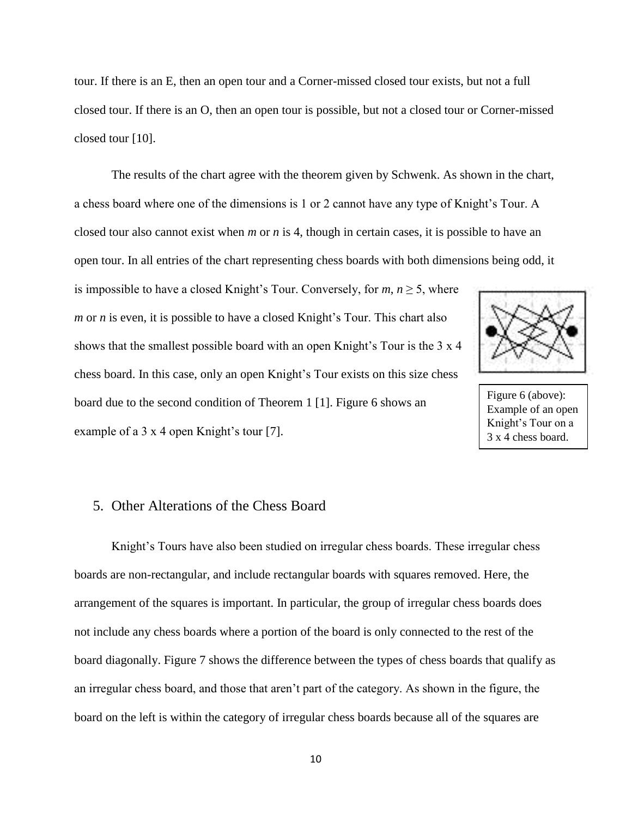tour. If there is an E, then an open tour and a Corner-missed closed tour exists, but not a full closed tour. If there is an O, then an open tour is possible, but not a closed tour or Corner-missed closed tour [10].

The results of the chart agree with the theorem given by Schwenk. As shown in the chart, a chess board where one of the dimensions is 1 or 2 cannot have any type of Knight's Tour. A closed tour also cannot exist when *m* or *n* is 4, though in certain cases, it is possible to have an open tour. In all entries of the chart representing chess boards with both dimensions being odd, it

is impossible to have a closed Knight's Tour. Conversely, for  $m, n \geq 5$ , where *m* or *n* is even, it is possible to have a closed Knight's Tour. This chart also shows that the smallest possible board with an open Knight's Tour is the 3 x 4 chess board. In this case, only an open Knight's Tour exists on this size chess board due to the second condition of Theorem 1 [1]. Figure 6 shows an example of a 3 x 4 open Knight's tour [7].



Figure 6 (above): Example of an open Knight's Tour on a 3 x 4 chess board.

# 5. Other Alterations of the Chess Board

Knight's Tours have also been studied on irregular chess boards. These irregular chess boards are non-rectangular, and include rectangular boards with squares removed. Here, the arrangement of the squares is important. In particular, the group of irregular chess boards does not include any chess boards where a portion of the board is only connected to the rest of the board diagonally. Figure 7 shows the difference between the types of chess boards that qualify as an irregular chess board, and those that aren't part of the category. As shown in the figure, the board on the left is within the category of irregular chess boards because all of the squares are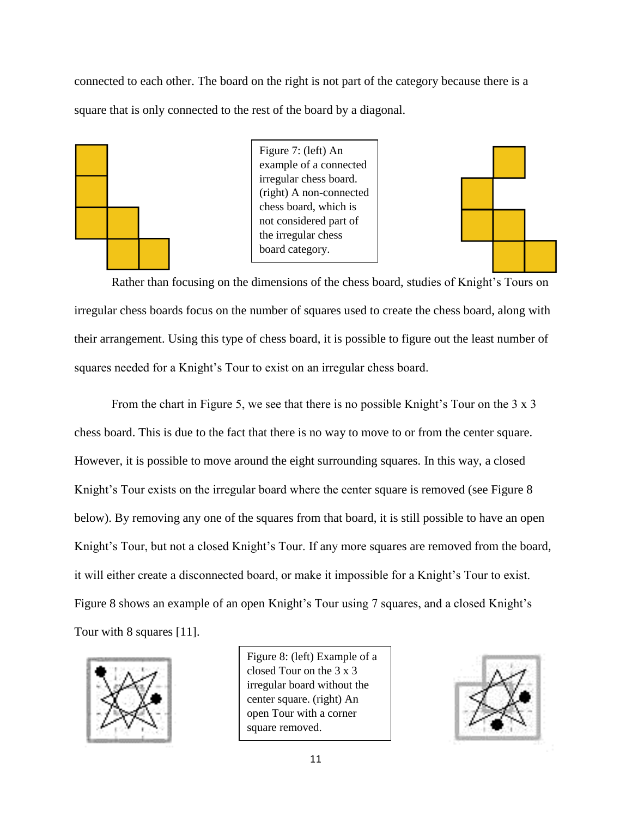connected to each other. The board on the right is not part of the category because there is a square that is only connected to the rest of the board by a diagonal.



Figure 7: (left) An example of a connected irregular chess board. (right) A non-connected chess board, which is not considered part of the irregular chess board category.



Rather than focusing on the dimensions of the chess board, studies of Knight's Tours on irregular chess boards focus on the number of squares used to create the chess board, along with their arrangement. Using this type of chess board, it is possible to figure out the least number of squares needed for a Knight's Tour to exist on an irregular chess board.

From the chart in Figure 5, we see that there is no possible Knight's Tour on the 3 x 3 chess board. This is due to the fact that there is no way to move to or from the center square. However, it is possible to move around the eight surrounding squares. In this way, a closed Knight's Tour exists on the irregular board where the center square is removed (see Figure 8 below). By removing any one of the squares from that board, it is still possible to have an open Knight's Tour, but not a closed Knight's Tour. If any more squares are removed from the board, it will either create a disconnected board, or make it impossible for a Knight's Tour to exist. Figure 8 shows an example of an open Knight's Tour using 7 squares, and a closed Knight's Tour with 8 squares [11].



Figure 8: (left) Example of a closed Tour on the 3 x 3 irregular board without the center square. (right) An open Tour with a corner square removed.

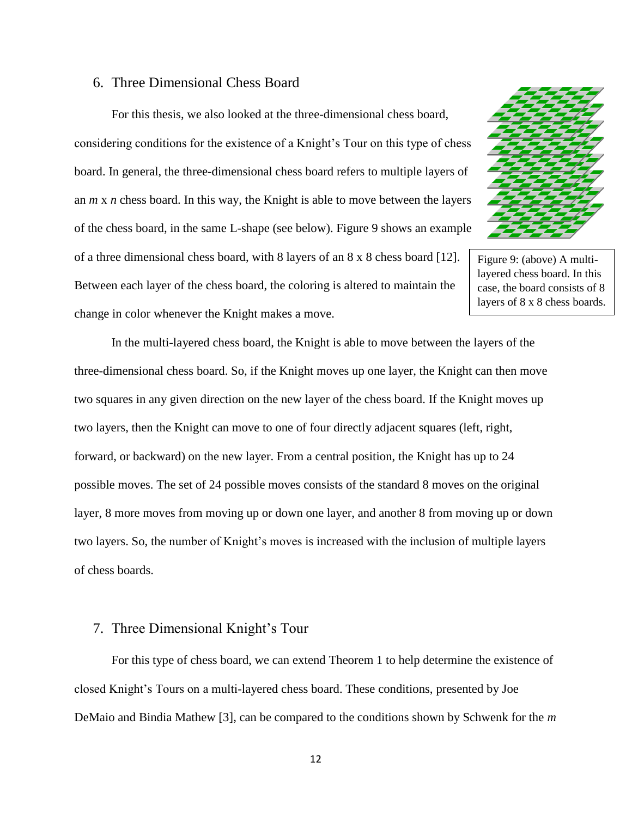#### 6. Three Dimensional Chess Board

For this thesis, we also looked at the three-dimensional chess board, considering conditions for the existence of a Knight's Tour on this type of chess board. In general, the three-dimensional chess board refers to multiple layers of an *m* x *n* chess board. In this way, the Knight is able to move between the layers of the chess board, in the same L-shape (see below). Figure 9 shows an example of a three dimensional chess board, with 8 layers of an 8 x 8 chess board [12]. Between each layer of the chess board, the coloring is altered to maintain the change in color whenever the Knight makes a move.



Figure 9: (above) A multilayered chess board. In this case, the board consists of 8 layers of 8 x 8 chess boards.

In the multi-layered chess board, the Knight is able to move between the layers of the three-dimensional chess board. So, if the Knight moves up one layer, the Knight can then move two squares in any given direction on the new layer of the chess board. If the Knight moves up two layers, then the Knight can move to one of four directly adjacent squares (left, right, forward, or backward) on the new layer. From a central position, the Knight has up to 24 possible moves. The set of 24 possible moves consists of the standard 8 moves on the original layer, 8 more moves from moving up or down one layer, and another 8 from moving up or down two layers. So, the number of Knight's moves is increased with the inclusion of multiple layers of chess boards.

## 7. Three Dimensional Knight's Tour

For this type of chess board, we can extend Theorem 1 to help determine the existence of closed Knight's Tours on a multi-layered chess board. These conditions, presented by Joe DeMaio and Bindia Mathew [3], can be compared to the conditions shown by Schwenk for the *m*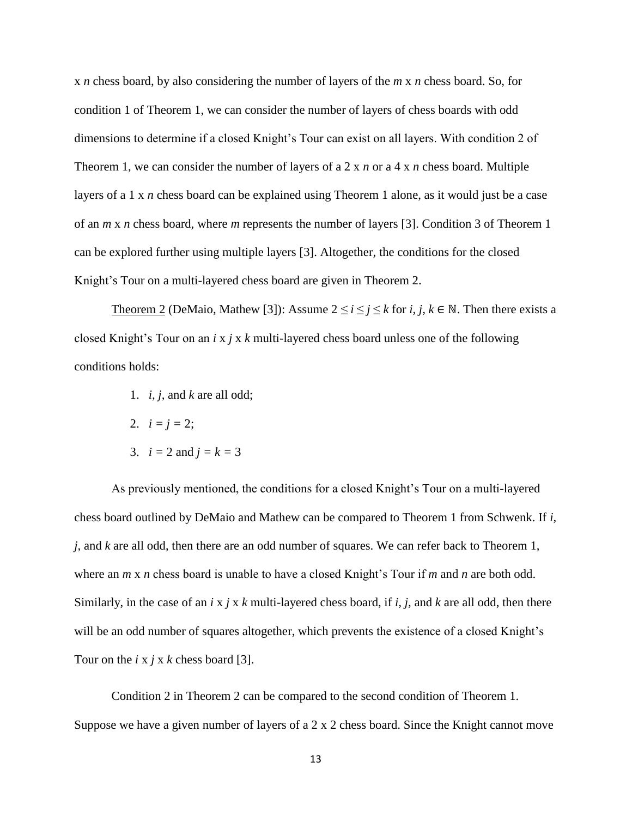x *n* chess board, by also considering the number of layers of the *m* x *n* chess board. So, for condition 1 of Theorem 1, we can consider the number of layers of chess boards with odd dimensions to determine if a closed Knight's Tour can exist on all layers. With condition 2 of Theorem 1, we can consider the number of layers of a 2 x *n* or a 4 x *n* chess board. Multiple layers of a 1 x *n* chess board can be explained using Theorem 1 alone, as it would just be a case of an *m* x *n* chess board, where *m* represents the number of layers [3]. Condition 3 of Theorem 1 can be explored further using multiple layers [3]. Altogether, the conditions for the closed Knight's Tour on a multi-layered chess board are given in Theorem 2.

Theorem 2 (DeMaio, Mathew [3]): Assume  $2 \le i \le j \le k$  for *i, j, k*  $\in \mathbb{N}$ . Then there exists a closed Knight's Tour on an *i* x *j* x *k* multi-layered chess board unless one of the following conditions holds:

- 1. *i, j,* and *k* are all odd;
- 2.  $i = j = 2$ ;
- 3.  $i = 2$  and  $j = k = 3$

As previously mentioned, the conditions for a closed Knight's Tour on a multi-layered chess board outlined by DeMaio and Mathew can be compared to Theorem 1 from Schwenk. If *i, j,* and *k* are all odd, then there are an odd number of squares. We can refer back to Theorem 1, where an *m* x *n* chess board is unable to have a closed Knight's Tour if *m* and *n* are both odd. Similarly, in the case of an *i* x *j* x *k* multi-layered chess board, if *i, j,* and *k* are all odd, then there will be an odd number of squares altogether, which prevents the existence of a closed Knight's Tour on the *i* x *j* x *k* chess board [3].

Condition 2 in Theorem 2 can be compared to the second condition of Theorem 1. Suppose we have a given number of layers of a 2 x 2 chess board. Since the Knight cannot move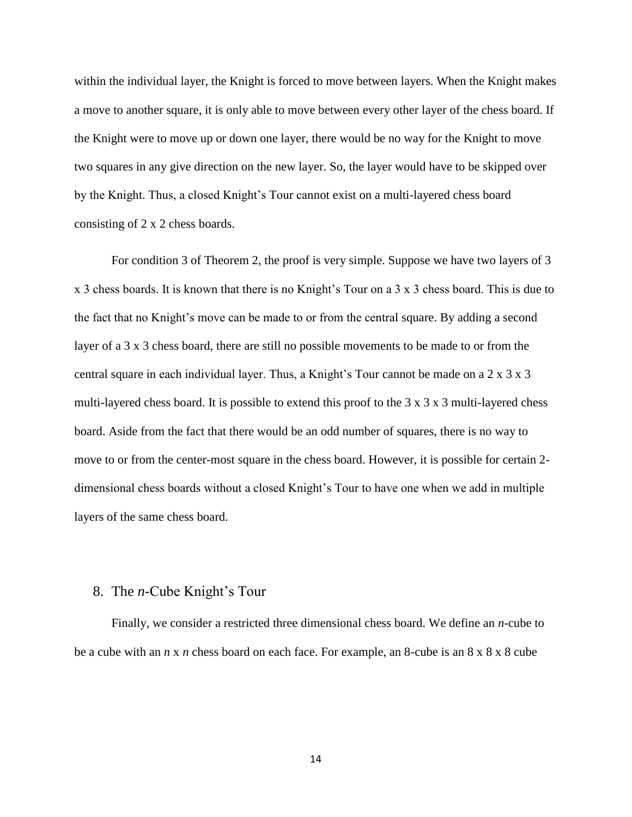within the individual layer, the Knight is forced to move between layers. When the Knight makes a move to another square, it is only able to move between every other layer of the chess board. If the Knight were to move up or down one layer, there would be no way for the Knight to move two squares in any give direction on the new layer. So, the layer would have to be skipped over by the Knight. Thus, a closed Knight's Tour cannot exist on a multi-layered chess board consisting of 2 x 2 chess boards.

For condition 3 of Theorem 2, the proof is very simple. Suppose we have two layers of 3 x 3 chess boards. It is known that there is no Knight's Tour on a 3 x 3 chess board. This is due to the fact that no Knight's move can be made to or from the central square. By adding a second layer of a 3 x 3 chess board, there are still no possible movements to be made to or from the central square in each individual layer. Thus, a Knight's Tour cannot be made on a 2 x 3 x 3 multi-layered chess board. It is possible to extend this proof to the 3 x 3 x 3 multi-layered chess board. Aside from the fact that there would be an odd number of squares, there is no way to move to or from the center-most square in the chess board. However, it is possible for certain 2 dimensional chess boards without a closed Knight's Tour to have one when we add in multiple layers of the same chess board.

## 8. The *n*-Cube Knight's Tour

Finally, we consider a restricted three dimensional chess board. We define an *n*-cube to be a cube with an *n* x *n* chess board on each face. For example, an 8-cube is an 8 x 8 x 8 cube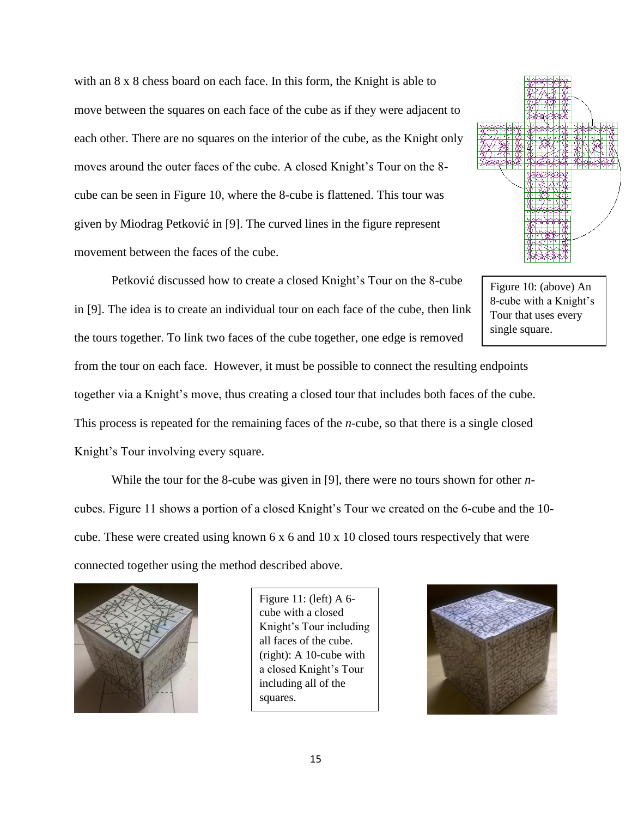with an  $8 \times 8$  chess board on each face. In this form, the Knight is able to move between the squares on each face of the cube as if they were adjacent to each other. There are no squares on the interior of the cube, as the Knight only moves around the outer faces of the cube. A closed Knight's Tour on the 8 cube can be seen in Figure 10, where the 8-cube is flattened. This tour was given by Miodrag Petković in [9]. The curved lines in the figure represent movement between the faces of the cube.

Petković discussed how to create a closed Knight's Tour on the 8-cube in [9]. The idea is to create an individual tour on each face of the cube, then link the tours together. To link two faces of the cube together, one edge is removed



Figure 10: (above) An 8-cube with a Knight's Tour that uses every single square.

from the tour on each face. However, it must be possible to connect the resulting endpoints together via a Knight's move, thus creating a closed tour that includes both faces of the cube. This process is repeated for the remaining faces of the *n*-cube, so that there is a single closed Knight's Tour involving every square.

While the tour for the 8-cube was given in [9], there were no tours shown for other *n*cubes. Figure 11 shows a portion of a closed Knight's Tour we created on the 6-cube and the 10 cube. These were created using known 6 x 6 and 10 x 10 closed tours respectively that were connected together using the method described above.



Figure 11: (left) A 6 cube with a closed Knight's Tour including all faces of the cube. (right): A 10-cube with a closed Knight's Tour including all of the squares.

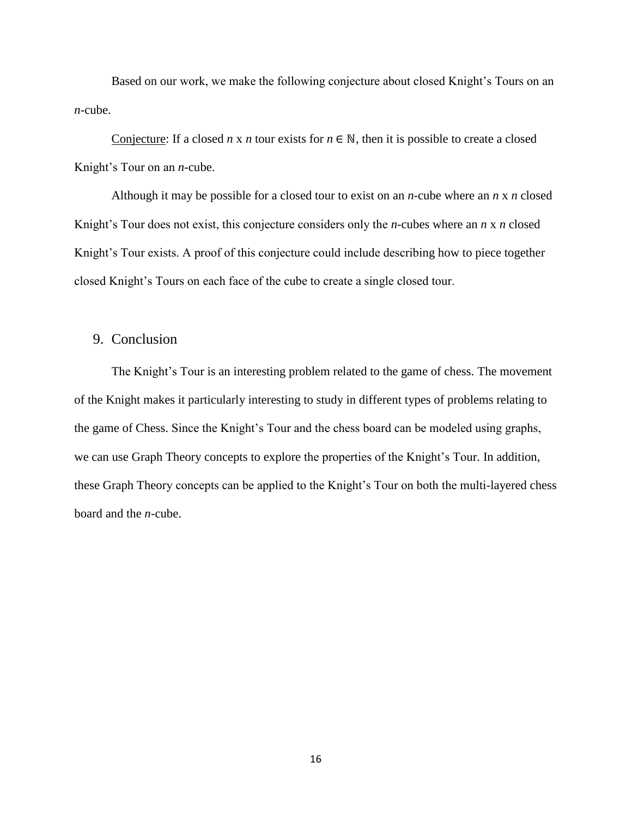Based on our work, we make the following conjecture about closed Knight's Tours on an *n*-cube.

Conjecture: If a closed *n* x *n* tour exists for  $n \in \mathbb{N}$ , then it is possible to create a closed Knight's Tour on an *n-*cube.

Although it may be possible for a closed tour to exist on an *n*-cube where an *n* x *n* closed Knight's Tour does not exist, this conjecture considers only the *n*-cubes where an *n* x *n* closed Knight's Tour exists. A proof of this conjecture could include describing how to piece together closed Knight's Tours on each face of the cube to create a single closed tour.

# 9. Conclusion

The Knight's Tour is an interesting problem related to the game of chess. The movement of the Knight makes it particularly interesting to study in different types of problems relating to the game of Chess. Since the Knight's Tour and the chess board can be modeled using graphs, we can use Graph Theory concepts to explore the properties of the Knight's Tour. In addition, these Graph Theory concepts can be applied to the Knight's Tour on both the multi-layered chess board and the *n*-cube.